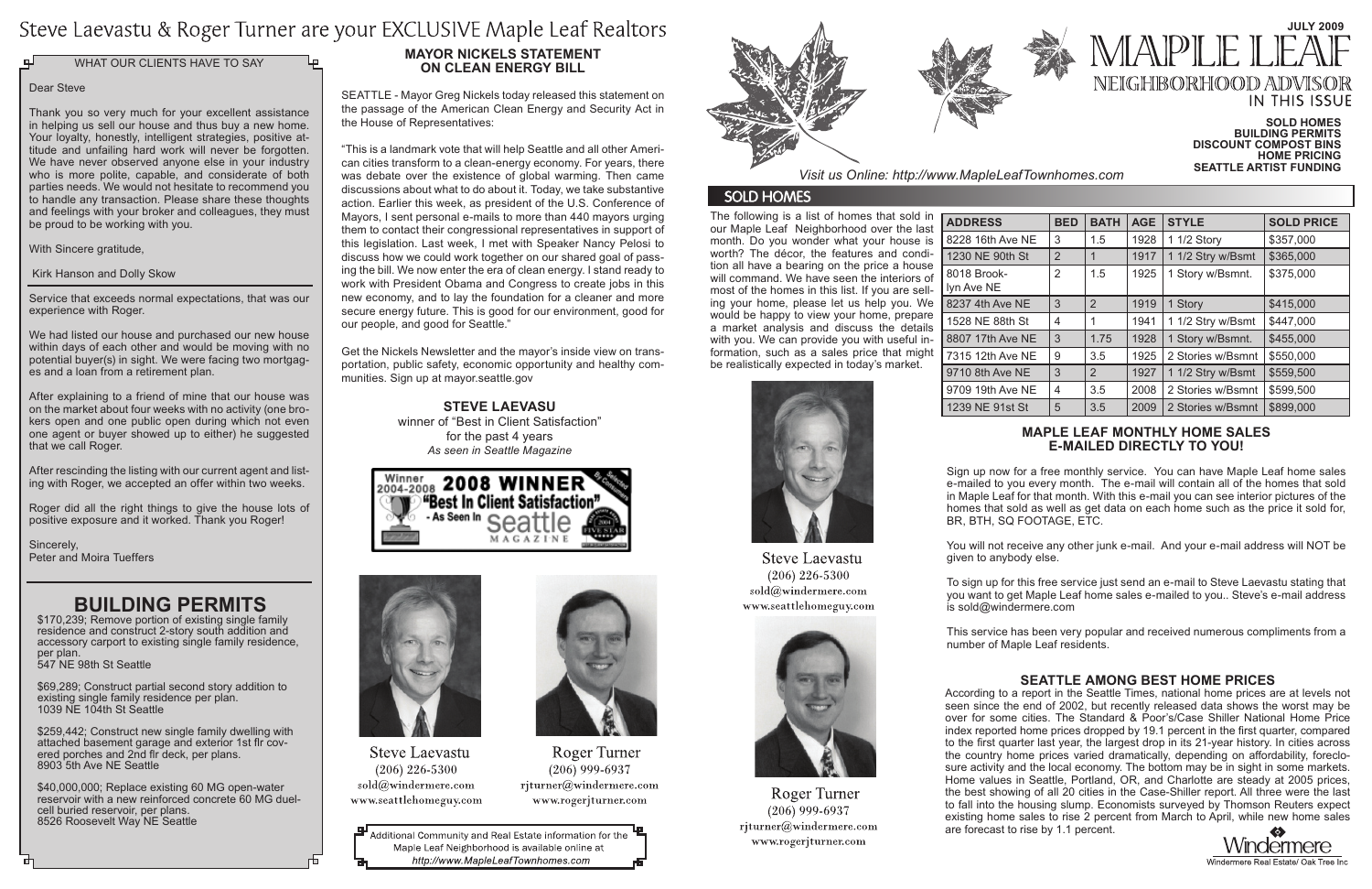# Steve Laevastu & Roger Turner are your EXCLUSIVE Maple Leaf Realtors

WHAT OUR CLIENTS HAVE TO SAY

# **Mayor Nickels statement on clean energy bill**

SEATTLE - Mayor Greg Nickels today released this statement on the passage of the American Clean Energy and Security Act in the House of Representatives:

# **July 2009** MAPI F NEIGHBORHOOD ADV **IN THIS ISSUE**

"This is a landmark vote that will help Seattle and all other American cities transform to a clean-energy economy. For years, there was debate over the existence of global warming. Then came discussions about what to do about it. Today, we take substantive action. Earlier this week, as president of the U.S. Conference of Mayors, I sent personal e-mails to more than 440 mayors urging them to contact their congressional representatives in support of this legislation. Last week, I met with Speaker Nancy Pelosi to discuss how we could work together on our shared goal of passing the bill. We now enter the era of clean energy. I stand ready to work with President Obama and Congress to create jobs in this new economy, and to lay the foundation for a cleaner and more secure energy future. This is good for our environment, good for our people, and good for Seattle."

Get the Nickels Newsletter and the mayor's inside view on transportation, public safety, economic opportunity and healthy communities. Sign up at mayor.seattle.gov

The following is a list of homes that sold in our Maple Leaf Neighborhood over the last month. Do you wonder what your house is worth? The décor, the features and condition all have a bearing on the price a house will command. We have seen the interiors of most of the homes in this list. If you are selling your home, please let us help you. We would be happy to view your home, prepare a market analysis and discuss the details with you. We can provide you with useful information, such as a sales price that might be realistically expected in today's market.

After rescinding the listing with our current agent and listing with Roger, we accepted an offer within two weeks.

|       | <b>BED</b> | <b>BATH</b>    | <b>AGE</b> | <b>STYLE</b>      | <b>SOLD PRICE</b> |
|-------|------------|----------------|------------|-------------------|-------------------|
| e NE  | 3          | 1.5            | 1928       | 1 1/2 Story       | \$357,000         |
| h St  | 2          | 1              | 1917       | 1 1/2 Stry w/Bsmt | \$365,000         |
|       | 2          | 1.5            | 1925       | 1 Story w/Bsmnt.  | \$375,000         |
| NE    | 3          | $\overline{2}$ | 1919       | 1 Story           | \$415,000         |
| h St  | 4          | 1              | 1941       | 1 1/2 Stry w/Bsmt | \$447,000         |
| e NE  | 3          | 1.75           | 1928       | 1 Story w/Bsmnt.  | \$455,000         |
| e NE  | 9          | 3.5            | 1925       | 2 Stories w/Bsmnt | \$550,000         |
| : NE  | 3          | $\overline{2}$ | 1927       | 1 1/2 Stry w/Bsmt | \$559,500         |
| e NE  | 4          | 3.5            | 2008       | 2 Stories w/Bsmnt | \$599,500         |
| st St | 5          | 3.5            | 2009       | 2 Stories w/Bsmnt | \$899,000         |





 $(206)$  226-5300 sold@windermere.com www.seattlehomeguy.com

Roger Turner

 $(206)$  999-6937 rjturner@windermere.com

www.rogerjturner.com

### Dear Steve

Thank you so very much for your excellent assistance in helping us sell our house and thus buy a new home. Your loyalty, honestly, intelligent strategies, positive attitude and unfailing hard work will never be forgotten. We have never observed anyone else in your industry who is more polite, capable, and considerate of both parties needs. We would not hesitate to recommend you to handle any transaction. Please share these thoughts and feelings with your broker and colleagues, they must be proud to be working with you.

With Sincere gratitude.

Kirk Hanson and Dolly Skow

Service that exceeds normal expectations, that was our experience with Roger.

We had listed our house and purchased our new house within days of each other and would be moving with no potential buyer(s) in sight. We were facing two mortgages and a loan from a retirement plan.

After explaining to a friend of mine that our house was on the market about four weeks with no activity (one brokers open and one public open during which not even one agent or buyer showed up to either) he suggested that we call Roger.

Roger did all the right things to give the house lots of positive exposure and it worked. Thank you Roger!

Sincerely, Peter and Moira Tueffers

# **Maple Leaf monthly home sales e-mailed directly to you!**

Sign up now for a free monthly service. You can have Maple Leaf home sales e-mailed to you every month. The e-mail will contain all of the homes that sold in Maple Leaf for that month. With this e-mail you can see interior pictures of the homes that sold as well as get data on each home such as the price it sold for, BR, BTH, SQ FOOTAGE, ETC.

You will not receive any other junk e-mail. And your e-mail address will NOT be given to anybody else.

To sign up for this free service just send an e-mail to Steve Laevastu stating that you want to get Maple Leaf home sales e-mailed to you.. Steve's e-mail address is sold@windermere.com

This service has been very popular and received numerous compliments from a number of Maple Leaf residents.

#### **Sold Homes Building Permits Discount Compost Bins Home pricing Seattle artist funding**







**Steve Laevastu**  $(206)$  226-5300 sold@windermere.com www.seattlehomeguy.com



**Roger Turner**  $(206)$  999-6937 rjturner@windermere.com www.rogerjturner.com

Additional Community and Real Estate information for the Maple Leaf Neighborhood is available online at http://www.MapleLeafTownhomes.com



*Visit us Online: http://www.MapleLeafTownhomes.com*

# **SOLD HOMES**

# **BUILDING PERMITS**

\$170,239; Remove portion of existing single family residence and construct 2-story south addition and accessory carport to existing single family residence, per plan. 547 NE 98th St Seattle

\$69,289; Construct partial second story addition to existing single family residence per plan. 1039 NE 104th St Seattle

\$259,442; Construct new single family dwelling with attached basement garage and exterior 1st flr covered porches and 2nd flr deck, per plans. 8903 5th Ave NE Seattle

\$40,000,000; Replace existing 60 MG open-water reservoir with a new reinforced concrete 60 MG duelcell buried reservoir, per plans. 8526 Roosevelt Way NE Seattle

# **Seattle among best home prices**



According to a report in the Seattle Times, national home prices are at levels not seen since the end of 2002, but recently released data shows the worst may be over for some cities. The Standard & Poor's/Case Shiller National Home Price index reported home prices dropped by 19.1 percent in the first quarter, compared to the first quarter last year, the largest drop in its 21-year history. In cities across the country home prices varied dramatically, depending on affordability, foreclosure activity and the local economy. The bottom may be in sight in some markets. Home values in Seattle, Portland, OR, and Charlotte are steady at 2005 prices, the best showing of all 20 cities in the Case-Shiller report. All three were the last to fall into the housing slump. Economists surveyed by Thomson Reuters expect existing home sales to rise 2 percent from March to April, while new home sales are forecast to rise by 1.1 percent.